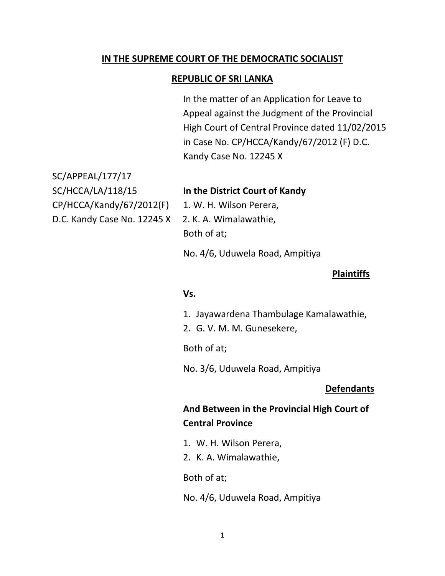## **IN THE SUPREME COURT OF THE DEMOCRATIC SOCIALIST**

#### **REPUBLIC OF SRI LANKA**

In the matter of an Application for Leave to Appeal against the Judgment of the Provincial High Court of Central Province dated 11/02/2015 in Case No. CP/HCCA/Kandy/67/2012 (F) D.C. Kandy Case No. 12245 X

SC/APPEAL/177/17 CP/HCCA/Kandy/67/2012(F) 1. W. H. Wilson Perera,

#### SC/HCCA/LA/118/15 **In the District Court of Kandy**

D.C. Kandy Case No. 12245 X 2. K. A. Wimalawathie, Both of at;

No. 4/6, Uduwela Road, Ampitiya

#### **Plaintiffs**

#### **Vs.**

1. Jayawardena Thambulage Kamalawathie,

2. G. V. M. M. Gunesekere,

Both of at;

No. 3/6, Uduwela Road, Ampitiya

#### **Defendants**

# **And Between in the Provincial High Court of Central Province**

- 1. W. H. Wilson Perera,
- 2. K. A. Wimalawathie,

Both of at;

No. 4/6, Uduwela Road, Ampitiya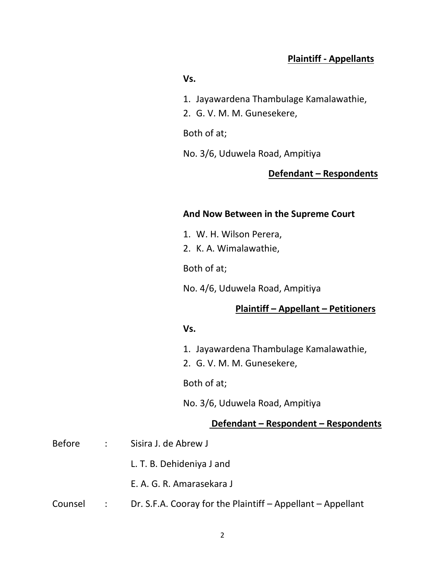# **Plaintiff - Appellants**

#### **Vs.**

- 1. Jayawardena Thambulage Kamalawathie,
- 2. G. V. M. M. Gunesekere,

### Both of at;

No. 3/6, Uduwela Road, Ampitiya

# **Defendant – Respondents**

#### **And Now Between in the Supreme Court**

- 1. W. H. Wilson Perera,
- 2. K. A. Wimalawathie,

Both of at;

No. 4/6, Uduwela Road, Ampitiya

## **Plaintiff – Appellant – Petitioners**

#### **Vs.**

- 1. Jayawardena Thambulage Kamalawathie,
- 2. G. V. M. M. Gunesekere,

Both of at;

No. 3/6, Uduwela Road, Ampitiya

### **Defendant – Respondent – Respondents**

| Before  |                             | : Sisira J. de Abrew J                                      |
|---------|-----------------------------|-------------------------------------------------------------|
|         |                             | L. T. B. Dehideniya J and                                   |
|         |                             | E. A. G. R. Amarasekara J                                   |
| Counsel | $\sim 10^{10}$ km s $^{-1}$ | Dr. S.F.A. Cooray for the Plaintiff – Appellant – Appellant |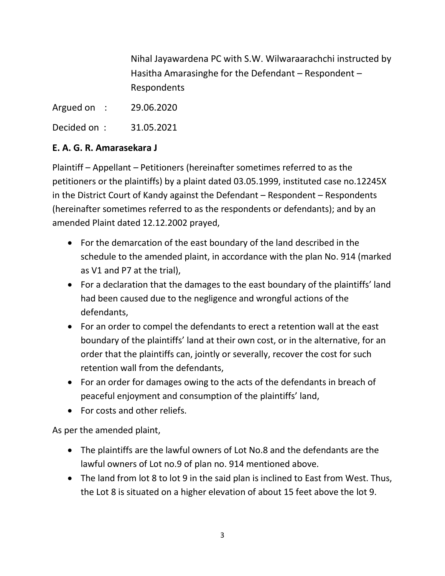Nihal Jayawardena PC with S.W. Wilwaraarachchi instructed by Hasitha Amarasinghe for the Defendant – Respondent – Respondents

Argued on : 29.06.2020

Decided on : 31.05.2021

# **E. A. G. R. Amarasekara J**

Plaintiff – Appellant – Petitioners (hereinafter sometimes referred to as the petitioners or the plaintiffs) by a plaint dated 03.05.1999, instituted case no.12245X in the District Court of Kandy against the Defendant – Respondent – Respondents (hereinafter sometimes referred to as the respondents or defendants); and by an amended Plaint dated 12.12.2002 prayed,

- For the demarcation of the east boundary of the land described in the schedule to the amended plaint, in accordance with the plan No. 914 (marked as V1 and P7 at the trial),
- For a declaration that the damages to the east boundary of the plaintiffs' land had been caused due to the negligence and wrongful actions of the defendants,
- For an order to compel the defendants to erect a retention wall at the east boundary of the plaintiffs' land at their own cost, or in the alternative, for an order that the plaintiffs can, jointly or severally, recover the cost for such retention wall from the defendants,
- For an order for damages owing to the acts of the defendants in breach of peaceful enjoyment and consumption of the plaintiffs' land,
- For costs and other reliefs.

As per the amended plaint,

- The plaintiffs are the lawful owners of Lot No.8 and the defendants are the lawful owners of Lot no.9 of plan no. 914 mentioned above.
- The land from lot 8 to lot 9 in the said plan is inclined to East from West. Thus, the Lot 8 is situated on a higher elevation of about 15 feet above the lot 9.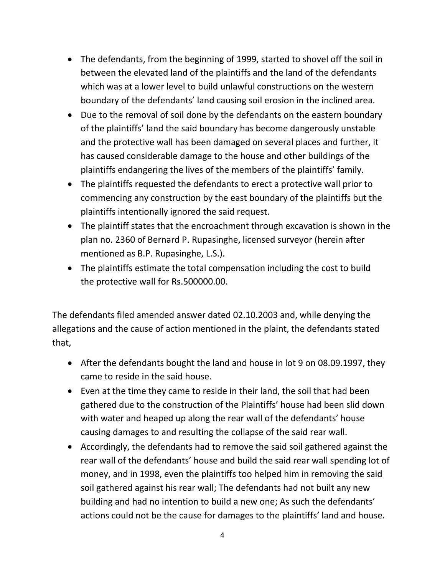- The defendants, from the beginning of 1999, started to shovel off the soil in between the elevated land of the plaintiffs and the land of the defendants which was at a lower level to build unlawful constructions on the western boundary of the defendants' land causing soil erosion in the inclined area.
- Due to the removal of soil done by the defendants on the eastern boundary of the plaintiffs' land the said boundary has become dangerously unstable and the protective wall has been damaged on several places and further, it has caused considerable damage to the house and other buildings of the plaintiffs endangering the lives of the members of the plaintiffs' family.
- The plaintiffs requested the defendants to erect a protective wall prior to commencing any construction by the east boundary of the plaintiffs but the plaintiffs intentionally ignored the said request.
- The plaintiff states that the encroachment through excavation is shown in the plan no. 2360 of Bernard P. Rupasinghe, licensed surveyor (herein after mentioned as B.P. Rupasinghe, L.S.).
- The plaintiffs estimate the total compensation including the cost to build the protective wall for Rs.500000.00.

The defendants filed amended answer dated 02.10.2003 and, while denying the allegations and the cause of action mentioned in the plaint, the defendants stated that,

- After the defendants bought the land and house in lot 9 on 08.09.1997, they came to reside in the said house.
- Even at the time they came to reside in their land, the soil that had been gathered due to the construction of the Plaintiffs' house had been slid down with water and heaped up along the rear wall of the defendants' house causing damages to and resulting the collapse of the said rear wall.
- Accordingly, the defendants had to remove the said soil gathered against the rear wall of the defendants' house and build the said rear wall spending lot of money, and in 1998, even the plaintiffs too helped him in removing the said soil gathered against his rear wall; The defendants had not built any new building and had no intention to build a new one; As such the defendants' actions could not be the cause for damages to the plaintiffs' land and house.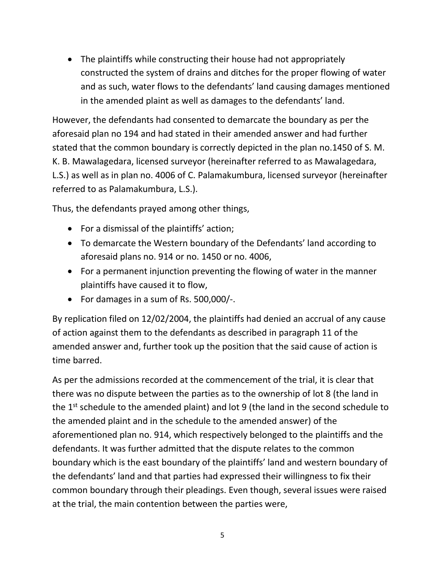• The plaintiffs while constructing their house had not appropriately constructed the system of drains and ditches for the proper flowing of water and as such, water flows to the defendants' land causing damages mentioned in the amended plaint as well as damages to the defendants' land.

However, the defendants had consented to demarcate the boundary as per the aforesaid plan no 194 and had stated in their amended answer and had further stated that the common boundary is correctly depicted in the plan no.1450 of S. M. K. B. Mawalagedara, licensed surveyor (hereinafter referred to as Mawalagedara, L.S.) as well as in plan no. 4006 of C. Palamakumbura, licensed surveyor (hereinafter referred to as Palamakumbura, L.S.).

Thus, the defendants prayed among other things,

- For a dismissal of the plaintiffs' action;
- To demarcate the Western boundary of the Defendants' land according to aforesaid plans no. 914 or no. 1450 or no. 4006,
- For a permanent injunction preventing the flowing of water in the manner plaintiffs have caused it to flow,
- For damages in a sum of Rs. 500,000/-.

By replication filed on 12/02/2004, the plaintiffs had denied an accrual of any cause of action against them to the defendants as described in paragraph 11 of the amended answer and, further took up the position that the said cause of action is time barred.

As per the admissions recorded at the commencement of the trial, it is clear that there was no dispute between the parties as to the ownership of lot 8 (the land in the  $1^{st}$  schedule to the amended plaint) and lot 9 (the land in the second schedule to the amended plaint and in the schedule to the amended answer) of the aforementioned plan no. 914, which respectively belonged to the plaintiffs and the defendants. It was further admitted that the dispute relates to the common boundary which is the east boundary of the plaintiffs' land and western boundary of the defendants' land and that parties had expressed their willingness to fix their common boundary through their pleadings. Even though, several issues were raised at the trial, the main contention between the parties were,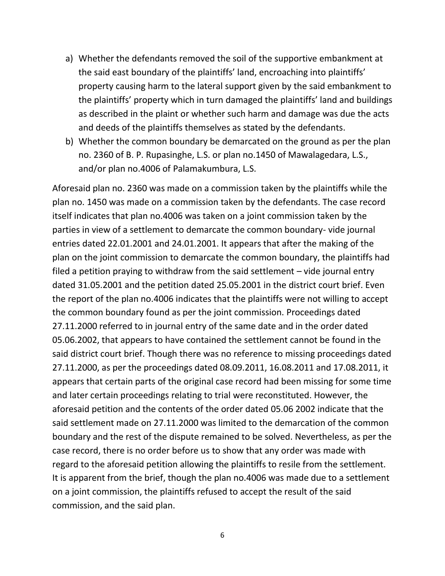- a) Whether the defendants removed the soil of the supportive embankment at the said east boundary of the plaintiffs' land, encroaching into plaintiffs' property causing harm to the lateral support given by the said embankment to the plaintiffs' property which in turn damaged the plaintiffs' land and buildings as described in the plaint or whether such harm and damage was due the acts and deeds of the plaintiffs themselves as stated by the defendants.
- b) Whether the common boundary be demarcated on the ground as per the plan no. 2360 of B. P. Rupasinghe, L.S. or plan no.1450 of Mawalagedara, L.S., and/or plan no.4006 of Palamakumbura, L.S.

Aforesaid plan no. 2360 was made on a commission taken by the plaintiffs while the plan no. 1450 was made on a commission taken by the defendants. The case record itself indicates that plan no.4006 was taken on a joint commission taken by the parties in view of a settlement to demarcate the common boundary- vide journal entries dated 22.01.2001 and 24.01.2001. It appears that after the making of the plan on the joint commission to demarcate the common boundary, the plaintiffs had filed a petition praying to withdraw from the said settlement – vide journal entry dated 31.05.2001 and the petition dated 25.05.2001 in the district court brief. Even the report of the plan no.4006 indicates that the plaintiffs were not willing to accept the common boundary found as per the joint commission. Proceedings dated 27.11.2000 referred to in journal entry of the same date and in the order dated 05.06.2002, that appears to have contained the settlement cannot be found in the said district court brief. Though there was no reference to missing proceedings dated 27.11.2000, as per the proceedings dated 08.09.2011, 16.08.2011 and 17.08.2011, it appears that certain parts of the original case record had been missing for some time and later certain proceedings relating to trial were reconstituted. However, the aforesaid petition and the contents of the order dated 05.06 2002 indicate that the said settlement made on 27.11.2000 was limited to the demarcation of the common boundary and the rest of the dispute remained to be solved. Nevertheless, as per the case record, there is no order before us to show that any order was made with regard to the aforesaid petition allowing the plaintiffs to resile from the settlement. It is apparent from the brief, though the plan no.4006 was made due to a settlement on a joint commission, the plaintiffs refused to accept the result of the said commission, and the said plan.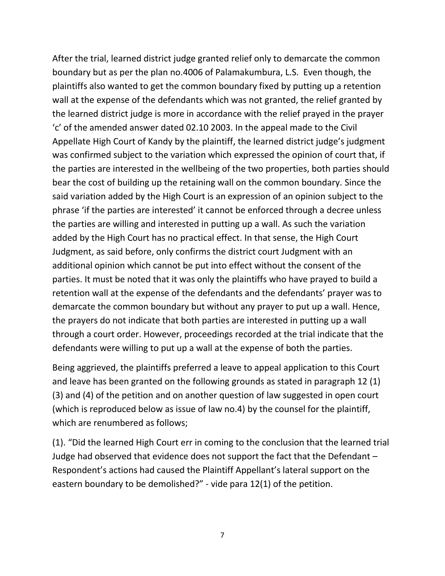After the trial, learned district judge granted relief only to demarcate the common boundary but as per the plan no.4006 of Palamakumbura, L.S. Even though, the plaintiffs also wanted to get the common boundary fixed by putting up a retention wall at the expense of the defendants which was not granted, the relief granted by the learned district judge is more in accordance with the relief prayed in the prayer 'c' of the amended answer dated 02.10 2003. In the appeal made to the Civil Appellate High Court of Kandy by the plaintiff, the learned district judge's judgment was confirmed subject to the variation which expressed the opinion of court that, if the parties are interested in the wellbeing of the two properties, both parties should bear the cost of building up the retaining wall on the common boundary. Since the said variation added by the High Court is an expression of an opinion subject to the phrase 'if the parties are interested' it cannot be enforced through a decree unless the parties are willing and interested in putting up a wall. As such the variation added by the High Court has no practical effect. In that sense, the High Court Judgment, as said before, only confirms the district court Judgment with an additional opinion which cannot be put into effect without the consent of the parties. It must be noted that it was only the plaintiffs who have prayed to build a retention wall at the expense of the defendants and the defendants' prayer was to demarcate the common boundary but without any prayer to put up a wall. Hence, the prayers do not indicate that both parties are interested in putting up a wall through a court order. However, proceedings recorded at the trial indicate that the defendants were willing to put up a wall at the expense of both the parties.

Being aggrieved, the plaintiffs preferred a leave to appeal application to this Court and leave has been granted on the following grounds as stated in paragraph 12 (1) (3) and (4) of the petition and on another question of law suggested in open court (which is reproduced below as issue of law no.4) by the counsel for the plaintiff, which are renumbered as follows;

(1). "Did the learned High Court err in coming to the conclusion that the learned trial Judge had observed that evidence does not support the fact that the Defendant – Respondent's actions had caused the Plaintiff Appellant's lateral support on the eastern boundary to be demolished?" - vide para 12(1) of the petition.

7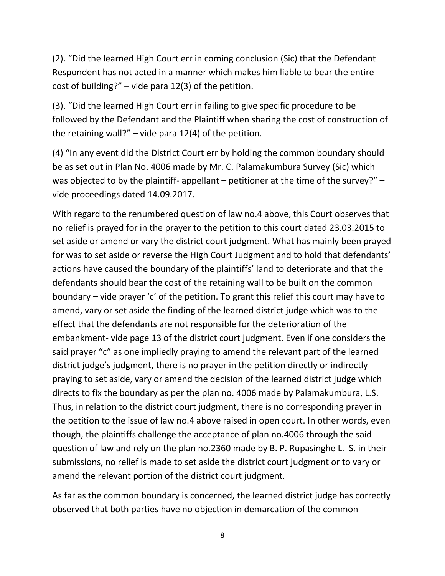(2). "Did the learned High Court err in coming conclusion (Sic) that the Defendant Respondent has not acted in a manner which makes him liable to bear the entire cost of building?" – vide para 12(3) of the petition.

(3). "Did the learned High Court err in failing to give specific procedure to be followed by the Defendant and the Plaintiff when sharing the cost of construction of the retaining wall?" – vide para  $12(4)$  of the petition.

(4) "In any event did the District Court err by holding the common boundary should be as set out in Plan No. 4006 made by Mr. C. Palamakumbura Survey (Sic) which was objected to by the plaintiff- appellant – petitioner at the time of the survey?" – vide proceedings dated 14.09.2017.

With regard to the renumbered question of law no.4 above, this Court observes that no relief is prayed for in the prayer to the petition to this court dated 23.03.2015 to set aside or amend or vary the district court judgment. What has mainly been prayed for was to set aside or reverse the High Court Judgment and to hold that defendants' actions have caused the boundary of the plaintiffs' land to deteriorate and that the defendants should bear the cost of the retaining wall to be built on the common boundary – vide prayer 'c' of the petition. To grant this relief this court may have to amend, vary or set aside the finding of the learned district judge which was to the effect that the defendants are not responsible for the deterioration of the embankment- vide page 13 of the district court judgment. Even if one considers the said prayer "c" as one impliedly praying to amend the relevant part of the learned district judge's judgment, there is no prayer in the petition directly or indirectly praying to set aside, vary or amend the decision of the learned district judge which directs to fix the boundary as per the plan no. 4006 made by Palamakumbura, L.S. Thus, in relation to the district court judgment, there is no corresponding prayer in the petition to the issue of law no.4 above raised in open court. In other words, even though, the plaintiffs challenge the acceptance of plan no.4006 through the said question of law and rely on the plan no.2360 made by B. P. Rupasinghe L. S. in their submissions, no relief is made to set aside the district court judgment or to vary or amend the relevant portion of the district court judgment.

As far as the common boundary is concerned, the learned district judge has correctly observed that both parties have no objection in demarcation of the common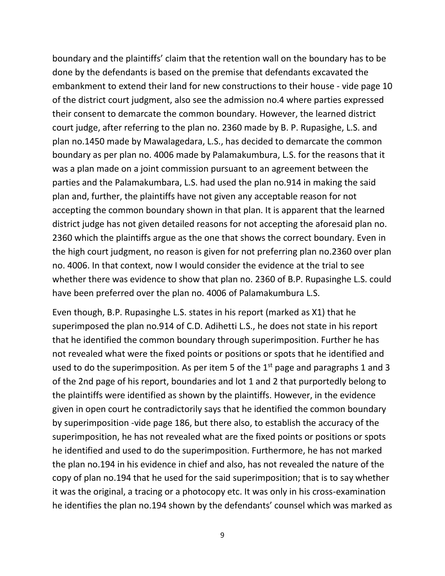boundary and the plaintiffs' claim that the retention wall on the boundary has to be done by the defendants is based on the premise that defendants excavated the embankment to extend their land for new constructions to their house - vide page 10 of the district court judgment, also see the admission no.4 where parties expressed their consent to demarcate the common boundary. However, the learned district court judge, after referring to the plan no. 2360 made by B. P. Rupasighe, L.S. and plan no.1450 made by Mawalagedara, L.S., has decided to demarcate the common boundary as per plan no. 4006 made by Palamakumbura, L.S. for the reasons that it was a plan made on a joint commission pursuant to an agreement between the parties and the Palamakumbara, L.S. had used the plan no.914 in making the said plan and, further, the plaintiffs have not given any acceptable reason for not accepting the common boundary shown in that plan. It is apparent that the learned district judge has not given detailed reasons for not accepting the aforesaid plan no. 2360 which the plaintiffs argue as the one that shows the correct boundary. Even in the high court judgment, no reason is given for not preferring plan no.2360 over plan no. 4006. In that context, now I would consider the evidence at the trial to see whether there was evidence to show that plan no. 2360 of B.P. Rupasinghe L.S. could have been preferred over the plan no. 4006 of Palamakumbura L.S.

Even though, B.P. Rupasinghe L.S. states in his report (marked as X1) that he superimposed the plan no.914 of C.D. Adihetti L.S., he does not state in his report that he identified the common boundary through superimposition. Further he has not revealed what were the fixed points or positions or spots that he identified and used to do the superimposition. As per item 5 of the  $1<sup>st</sup>$  page and paragraphs 1 and 3 of the 2nd page of his report, boundaries and lot 1 and 2 that purportedly belong to the plaintiffs were identified as shown by the plaintiffs. However, in the evidence given in open court he contradictorily says that he identified the common boundary by superimposition -vide page 186, but there also, to establish the accuracy of the superimposition, he has not revealed what are the fixed points or positions or spots he identified and used to do the superimposition. Furthermore, he has not marked the plan no.194 in his evidence in chief and also, has not revealed the nature of the copy of plan no.194 that he used for the said superimposition; that is to say whether it was the original, a tracing or a photocopy etc. It was only in his cross-examination he identifies the plan no.194 shown by the defendants' counsel which was marked as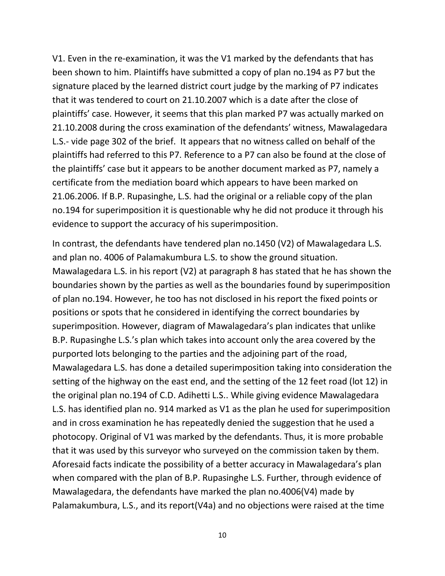V1. Even in the re-examination, it was the V1 marked by the defendants that has been shown to him. Plaintiffs have submitted a copy of plan no.194 as P7 but the signature placed by the learned district court judge by the marking of P7 indicates that it was tendered to court on 21.10.2007 which is a date after the close of plaintiffs' case. However, it seems that this plan marked P7 was actually marked on 21.10.2008 during the cross examination of the defendants' witness, Mawalagedara L.S.- vide page 302 of the brief. It appears that no witness called on behalf of the plaintiffs had referred to this P7. Reference to a P7 can also be found at the close of the plaintiffs' case but it appears to be another document marked as P7, namely a certificate from the mediation board which appears to have been marked on 21.06.2006. If B.P. Rupasinghe, L.S. had the original or a reliable copy of the plan no.194 for superimposition it is questionable why he did not produce it through his evidence to support the accuracy of his superimposition.

In contrast, the defendants have tendered plan no.1450 (V2) of Mawalagedara L.S. and plan no. 4006 of Palamakumbura L.S. to show the ground situation. Mawalagedara L.S. in his report (V2) at paragraph 8 has stated that he has shown the boundaries shown by the parties as well as the boundaries found by superimposition of plan no.194. However, he too has not disclosed in his report the fixed points or positions or spots that he considered in identifying the correct boundaries by superimposition. However, diagram of Mawalagedara's plan indicates that unlike B.P. Rupasinghe L.S.'s plan which takes into account only the area covered by the purported lots belonging to the parties and the adjoining part of the road, Mawalagedara L.S. has done a detailed superimposition taking into consideration the setting of the highway on the east end, and the setting of the 12 feet road (lot 12) in the original plan no.194 of C.D. Adihetti L.S.. While giving evidence Mawalagedara L.S. has identified plan no. 914 marked as V1 as the plan he used for superimposition and in cross examination he has repeatedly denied the suggestion that he used a photocopy. Original of V1 was marked by the defendants. Thus, it is more probable that it was used by this surveyor who surveyed on the commission taken by them. Aforesaid facts indicate the possibility of a better accuracy in Mawalagedara's plan when compared with the plan of B.P. Rupasinghe L.S. Further, through evidence of Mawalagedara, the defendants have marked the plan no.4006(V4) made by Palamakumbura, L.S., and its report(V4a) and no objections were raised at the time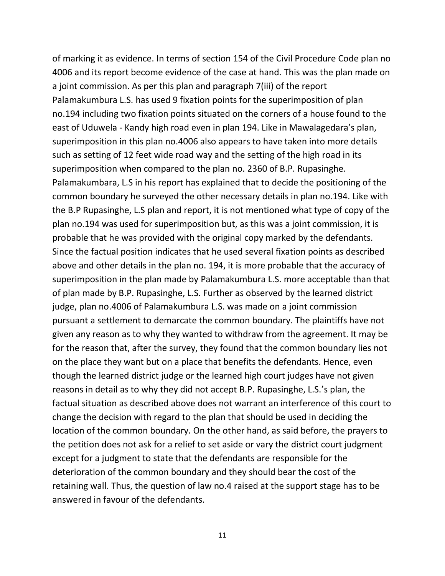of marking it as evidence. In terms of section 154 of the Civil Procedure Code plan no 4006 and its report become evidence of the case at hand. This was the plan made on a joint commission. As per this plan and paragraph 7(iii) of the report Palamakumbura L.S. has used 9 fixation points for the superimposition of plan no.194 including two fixation points situated on the corners of a house found to the east of Uduwela - Kandy high road even in plan 194. Like in Mawalagedara's plan, superimposition in this plan no.4006 also appears to have taken into more details such as setting of 12 feet wide road way and the setting of the high road in its superimposition when compared to the plan no. 2360 of B.P. Rupasinghe. Palamakumbara, L.S in his report has explained that to decide the positioning of the common boundary he surveyed the other necessary details in plan no.194. Like with the B.P Rupasinghe, L.S plan and report, it is not mentioned what type of copy of the plan no.194 was used for superimposition but, as this was a joint commission, it is probable that he was provided with the original copy marked by the defendants. Since the factual position indicates that he used several fixation points as described above and other details in the plan no. 194, it is more probable that the accuracy of superimposition in the plan made by Palamakumbura L.S. more acceptable than that of plan made by B.P. Rupasinghe, L.S. Further as observed by the learned district judge, plan no.4006 of Palamakumbura L.S. was made on a joint commission pursuant a settlement to demarcate the common boundary. The plaintiffs have not given any reason as to why they wanted to withdraw from the agreement. It may be for the reason that, after the survey, they found that the common boundary lies not on the place they want but on a place that benefits the defendants. Hence, even though the learned district judge or the learned high court judges have not given reasons in detail as to why they did not accept B.P. Rupasinghe, L.S.'s plan, the factual situation as described above does not warrant an interference of this court to change the decision with regard to the plan that should be used in deciding the location of the common boundary. On the other hand, as said before, the prayers to the petition does not ask for a relief to set aside or vary the district court judgment except for a judgment to state that the defendants are responsible for the deterioration of the common boundary and they should bear the cost of the retaining wall. Thus, the question of law no.4 raised at the support stage has to be answered in favour of the defendants.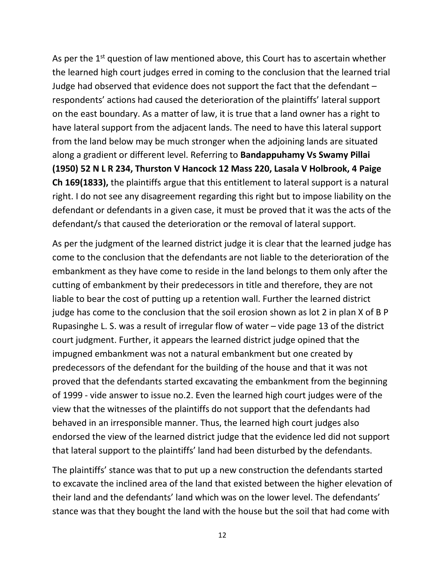As per the  $1<sup>st</sup>$  question of law mentioned above, this Court has to ascertain whether the learned high court judges erred in coming to the conclusion that the learned trial Judge had observed that evidence does not support the fact that the defendant – respondents' actions had caused the deterioration of the plaintiffs' lateral support on the east boundary. As a matter of law, it is true that a land owner has a right to have lateral support from the adjacent lands. The need to have this lateral support from the land below may be much stronger when the adjoining lands are situated along a gradient or different level. Referring to **Bandappuhamy Vs Swamy Pillai (1950) 52 N L R 234, Thurston V Hancock 12 Mass 220, Lasala V Holbrook, 4 Paige Ch 169(1833),** the plaintiffs argue that this entitlement to lateral support is a natural right. I do not see any disagreement regarding this right but to impose liability on the defendant or defendants in a given case, it must be proved that it was the acts of the defendant/s that caused the deterioration or the removal of lateral support.

As per the judgment of the learned district judge it is clear that the learned judge has come to the conclusion that the defendants are not liable to the deterioration of the embankment as they have come to reside in the land belongs to them only after the cutting of embankment by their predecessors in title and therefore, they are not liable to bear the cost of putting up a retention wall. Further the learned district judge has come to the conclusion that the soil erosion shown as lot 2 in plan X of B P Rupasinghe L. S. was a result of irregular flow of water – vide page 13 of the district court judgment. Further, it appears the learned district judge opined that the impugned embankment was not a natural embankment but one created by predecessors of the defendant for the building of the house and that it was not proved that the defendants started excavating the embankment from the beginning of 1999 - vide answer to issue no.2. Even the learned high court judges were of the view that the witnesses of the plaintiffs do not support that the defendants had behaved in an irresponsible manner. Thus, the learned high court judges also endorsed the view of the learned district judge that the evidence led did not support that lateral support to the plaintiffs' land had been disturbed by the defendants.

The plaintiffs' stance was that to put up a new construction the defendants started to excavate the inclined area of the land that existed between the higher elevation of their land and the defendants' land which was on the lower level. The defendants' stance was that they bought the land with the house but the soil that had come with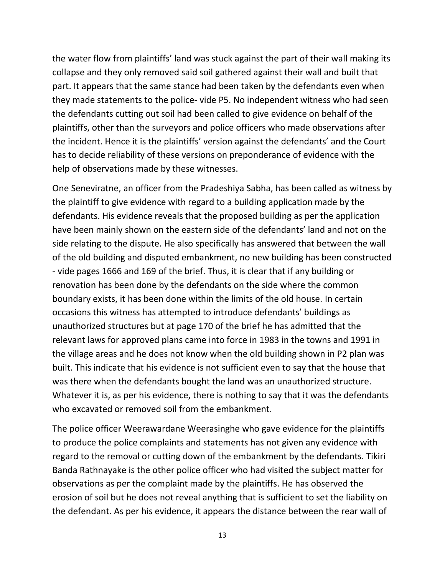the water flow from plaintiffs' land was stuck against the part of their wall making its collapse and they only removed said soil gathered against their wall and built that part. It appears that the same stance had been taken by the defendants even when they made statements to the police- vide P5. No independent witness who had seen the defendants cutting out soil had been called to give evidence on behalf of the plaintiffs, other than the surveyors and police officers who made observations after the incident. Hence it is the plaintiffs' version against the defendants' and the Court has to decide reliability of these versions on preponderance of evidence with the help of observations made by these witnesses.

One Seneviratne, an officer from the Pradeshiya Sabha, has been called as witness by the plaintiff to give evidence with regard to a building application made by the defendants. His evidence reveals that the proposed building as per the application have been mainly shown on the eastern side of the defendants' land and not on the side relating to the dispute. He also specifically has answered that between the wall of the old building and disputed embankment, no new building has been constructed - vide pages 1666 and 169 of the brief. Thus, it is clear that if any building or renovation has been done by the defendants on the side where the common boundary exists, it has been done within the limits of the old house. In certain occasions this witness has attempted to introduce defendants' buildings as unauthorized structures but at page 170 of the brief he has admitted that the relevant laws for approved plans came into force in 1983 in the towns and 1991 in the village areas and he does not know when the old building shown in P2 plan was built. This indicate that his evidence is not sufficient even to say that the house that was there when the defendants bought the land was an unauthorized structure. Whatever it is, as per his evidence, there is nothing to say that it was the defendants who excavated or removed soil from the embankment.

The police officer Weerawardane Weerasinghe who gave evidence for the plaintiffs to produce the police complaints and statements has not given any evidence with regard to the removal or cutting down of the embankment by the defendants. Tikiri Banda Rathnayake is the other police officer who had visited the subject matter for observations as per the complaint made by the plaintiffs. He has observed the erosion of soil but he does not reveal anything that is sufficient to set the liability on the defendant. As per his evidence, it appears the distance between the rear wall of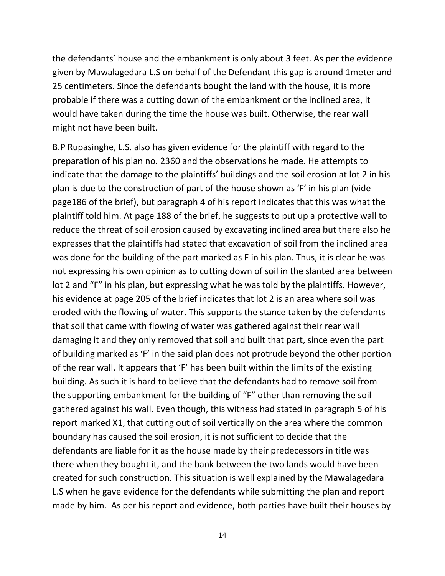the defendants' house and the embankment is only about 3 feet. As per the evidence given by Mawalagedara L.S on behalf of the Defendant this gap is around 1meter and 25 centimeters. Since the defendants bought the land with the house, it is more probable if there was a cutting down of the embankment or the inclined area, it would have taken during the time the house was built. Otherwise, the rear wall might not have been built.

B.P Rupasinghe, L.S. also has given evidence for the plaintiff with regard to the preparation of his plan no. 2360 and the observations he made. He attempts to indicate that the damage to the plaintiffs' buildings and the soil erosion at lot 2 in his plan is due to the construction of part of the house shown as 'F' in his plan (vide page186 of the brief), but paragraph 4 of his report indicates that this was what the plaintiff told him. At page 188 of the brief, he suggests to put up a protective wall to reduce the threat of soil erosion caused by excavating inclined area but there also he expresses that the plaintiffs had stated that excavation of soil from the inclined area was done for the building of the part marked as F in his plan. Thus, it is clear he was not expressing his own opinion as to cutting down of soil in the slanted area between lot 2 and "F" in his plan, but expressing what he was told by the plaintiffs. However, his evidence at page 205 of the brief indicates that lot 2 is an area where soil was eroded with the flowing of water. This supports the stance taken by the defendants that soil that came with flowing of water was gathered against their rear wall damaging it and they only removed that soil and built that part, since even the part of building marked as 'F' in the said plan does not protrude beyond the other portion of the rear wall. It appears that 'F' has been built within the limits of the existing building. As such it is hard to believe that the defendants had to remove soil from the supporting embankment for the building of "F" other than removing the soil gathered against his wall. Even though, this witness had stated in paragraph 5 of his report marked X1, that cutting out of soil vertically on the area where the common boundary has caused the soil erosion, it is not sufficient to decide that the defendants are liable for it as the house made by their predecessors in title was there when they bought it, and the bank between the two lands would have been created for such construction. This situation is well explained by the Mawalagedara L.S when he gave evidence for the defendants while submitting the plan and report made by him. As per his report and evidence, both parties have built their houses by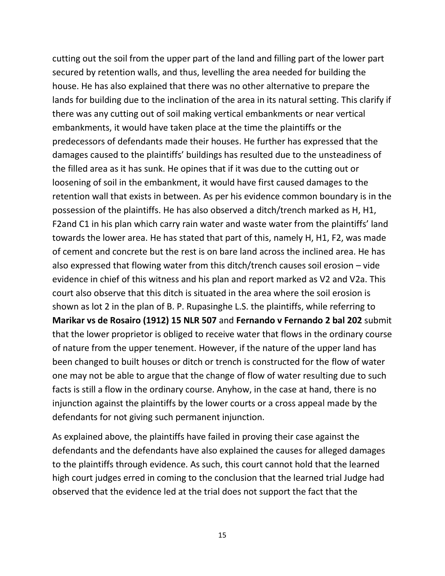cutting out the soil from the upper part of the land and filling part of the lower part secured by retention walls, and thus, levelling the area needed for building the house. He has also explained that there was no other alternative to prepare the lands for building due to the inclination of the area in its natural setting. This clarify if there was any cutting out of soil making vertical embankments or near vertical embankments, it would have taken place at the time the plaintiffs or the predecessors of defendants made their houses. He further has expressed that the damages caused to the plaintiffs' buildings has resulted due to the unsteadiness of the filled area as it has sunk. He opines that if it was due to the cutting out or loosening of soil in the embankment, it would have first caused damages to the retention wall that exists in between. As per his evidence common boundary is in the possession of the plaintiffs. He has also observed a ditch/trench marked as H, H1, F2and C1 in his plan which carry rain water and waste water from the plaintiffs' land towards the lower area. He has stated that part of this, namely H, H1, F2, was made of cement and concrete but the rest is on bare land across the inclined area. He has also expressed that flowing water from this ditch/trench causes soil erosion – vide evidence in chief of this witness and his plan and report marked as V2 and V2a. This court also observe that this ditch is situated in the area where the soil erosion is shown as lot 2 in the plan of B. P. Rupasinghe L.S. the plaintiffs, while referring to **Marikar vs de Rosairo (1912) 15 NLR 507** and **Fernando v Fernando 2 bal 202** submit that the lower proprietor is obliged to receive water that flows in the ordinary course of nature from the upper tenement. However, if the nature of the upper land has been changed to built houses or ditch or trench is constructed for the flow of water one may not be able to argue that the change of flow of water resulting due to such facts is still a flow in the ordinary course. Anyhow, in the case at hand, there is no injunction against the plaintiffs by the lower courts or a cross appeal made by the defendants for not giving such permanent injunction.

As explained above, the plaintiffs have failed in proving their case against the defendants and the defendants have also explained the causes for alleged damages to the plaintiffs through evidence. As such, this court cannot hold that the learned high court judges erred in coming to the conclusion that the learned trial Judge had observed that the evidence led at the trial does not support the fact that the